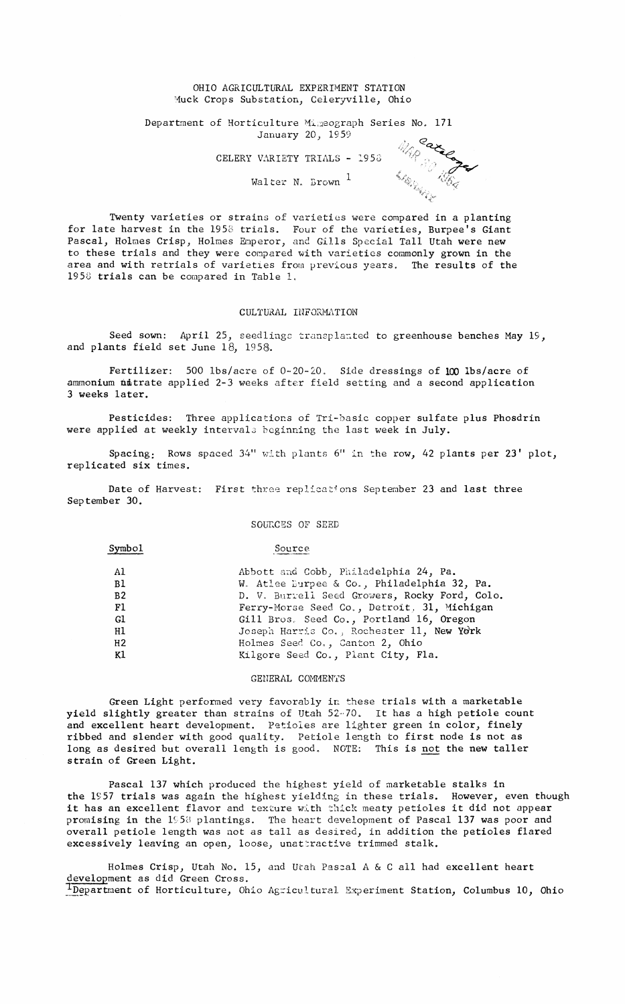#### OHIO AGRICULTURAL EXPERIMENT STATION Muck Crops Substation, Celeryville, Ohio

Department of Horticulture Mimeograph Series No. 171 January 20) 1959 <sup>Car</sup>

CELERY VARIETY TRIALS - 1953

Walter N. Brown  $<sup>1</sup>$ </sup>

Q~:»»»»»~»~,» <sup>&</sup>gt;  $\mathcal{F}$ 

Twenty varieties or strains of varieties were compared in a planting for late harvest in the 1958 trials. Four of the varieties, Burpee's Giant Pascal, Holmes Crisp, Holmes Emperor, and Gills Special Tall Utah were new to these trials and they were compared with varieties commonly grown in the area and with retrials of varieties from previous years. The results of the  $1958$  trials can be compared in Table 1.

#### CULTURAL INFORMATION

Seed sown: April 25, seedlings transplanted to greenhouse benches May 19, and plants field set June  $18$ ,  $1958$ .

Fertilizer: 500 lbs/acre of 0-20-20. Side dressings of 100 lbs/acre of ammonium nitrate applied 2-3 weeks after field setting and a second application <sup>3</sup> weeks later.

Pesticides: Three applications of Tri-basic copper sulfate plus Phosdrin were applied at weekly intervals beginning the last week in July.

Spacing: Rows spaced 34" with plants 6" in the row, 42 plants per 23' plot, replicated six times.

Date of Harvest: First three replications September 23 and last three September 30.

SOURCES OF SEED

Symbol Source

| A1<br>B1<br>B <sub>2</sub><br><b>F1</b><br>Gl<br>H1<br>H2 | Abbott and Cobb, Philadelphia 24, Pa.<br>W. Atlee Burpee & Co., Philadelphia 32, Pa.<br>D. V. Burrell Seed Growers, Rocky Ford, Colo.<br>Ferry-Morse Seed Co., Detroit, 31, Michigan<br>Gill Bros. Seed Co., Portland 16, Oregon<br>Joseph Harris Co., Rochester 11, New York |
|-----------------------------------------------------------|-------------------------------------------------------------------------------------------------------------------------------------------------------------------------------------------------------------------------------------------------------------------------------|
| K1                                                        | Holmes Seed Co., Canton 2, Ohio<br>Kilgore Seed Co., Plant City, Fla.                                                                                                                                                                                                         |

### GENERAL COMMENTS

Green Light performed very favorably in these trials with a marketable yield slightly greater than strains of Utah 52-70. It has a high petiole count and excellent heart development. Petioles are lighter green in color, finely ribbed and slender with good quality. Petiole length to first node is not as long as desired but overall length is good. NOTE: This is not the new taller strain of Green Light.

Pascal 137 which produced the highest yield of marketable stalks in the 1957 trials was again the highest yielding in these trials. However, even though it has an excellent flavor and texture with thick meaty petioles it did not appear promising in the 1958 plantings. The heart development of Pascal 137 was poor and overall petiole length was not as tall as desired, in addition the petioles flared excessively leaving an open, loose, unattractive trimmed stalk.

Holmes Crisp, Utah No. 15, and Utah Pascal A & C all had excellent heart development as did Green Cross. 1Department of Horticulture, Ohio Agricultural Experiment Station, Columbus 10, Ohio